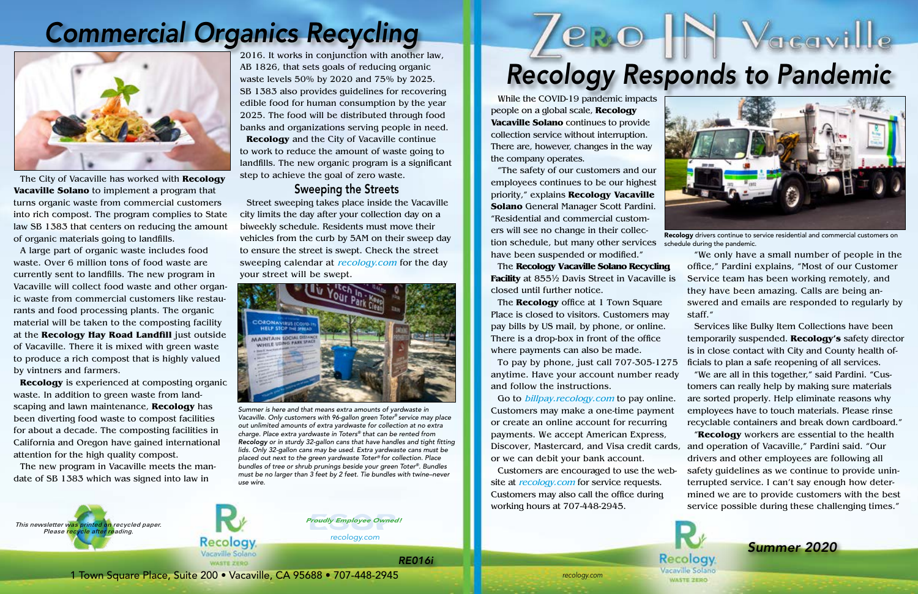*recology.com*

*recology.com*

1 Town Square Place, Suite 200 • Vacaville, CA 95688 • 707-448-2945



*Proudly Employee Owned!*

The City of Vacaville has worked with **Recology Vacaville Solano** to implement a program that turns organic waste from commercial customers into rich compost. The program complies to State law SB 1383 that centers on reducing the amount of organic materials going to landfills.

A large part of organic waste includes food waste. Over 6 million tons of food waste are currently sent to landfills. The new program in Vacaville will collect food waste and other organic waste from commercial customers like restaurants and food processing plants. The organic material will be taken to the composting facility at the **Recology Hay Road Landfill** just outside of Vacaville. There it is mixed with green waste to produce a rich compost that is highly valued by vintners and farmers.

**Recology** is experienced at composting organic waste. In addition to green waste from landscaping and lawn maintenance, **Recology** has been diverting food waste to compost facilities for about a decade. The composting facilities in California and Oregon have gained international attention for the high quality compost.

The new program in Vacaville meets the mandate of SB 1383 which was signed into law in

# *Commercial Organics Recycling*



2016. It works in conjunction with another law, AB 1826, that sets goals of reducing organic waste levels 50% by 2020 and 75% by 2025. SB 1383 also provides guidelines for recovering edible food for human consumption by the year 2025. The food will be distributed through food banks and organizations serving people in need.

**Recology** and the City of Vacaville continue to work to reduce the amount of waste going to landfills. The new organic program is a significant step to achieve the goal of zero waste.

### Sweeping the Streets

Street sweeping takes place inside the Vacaville city limits the day after your collection day on a biweekly schedule. Residents must move their vehicles from the curb by 5AM on their sweep day to ensure the street is swept. Check the street sweeping calendar at *recology.com* for the day your street will be swept.



*Summer is here and that means extra amounts of yardwaste in Vacaville. Only customers with 96-gallon green Toter® service may place out unlimited amounts of extra yardwaste for collection at no extra charge. Place extra yardwaste in Toters® that can be rented from Recology or in sturdy 32-gallon cans that have handles and tight fitting lids. Only 32-gallon cans may be used. Extra yardwaste cans must be placed out next to the green yardwaste Toter® for collection. Place bundles of tree or shrub prunings beside your green Toter®. Bundles must be no larger than 3 feet by 2 feet. Tie bundles with twine–never use wire.*





While the COVID-19 pandemic impacts people on a global scale, **Recology Vacaville Solano** continues to provide collection service without interruption. There are, however, changes in the way the company operates.

"The safety of our customers and our employees continues to be our highest priority," explains **Recology Vacaville Solano** General Manager Scott Pardini. "Residential and commercial customers will see no change in their collection schedule, but many other services

Place is closed to visitors. Customers may pay bills by US mail, by phone, or online. There is a drop-box in front of the office where payments can also be made.

have been suspended or modified." The **Recology Vacaville Solano Recycling Facility** at 855½ Davis Street in Vacaville is closed until further notice. The **Recology** office at 1 Town Square "We only have a small number of people in the office," Pardini explains, "Most of our Customer Service team has been working remotely, and they have been amazing. Calls are being answered and emails are responded to regularly by staff."

Recology drivers continue to service residential and commercial customers on schedule during the pandemic.

To pay by phone, just call 707-305-1275 Go to *billpay.recology.com* to pay online. ficials to plan a safe reopening of all services. "We are all in this together," said Pardini. "Customers can really help by making sure materials are sorted properly. Help eliminate reasons why employees have to touch materials. Please rinse recyclable containers and break down cardboard."

anytime. Have your account number ready and follow the instructions. Customers may make a one-time payment or create an online account for recurring payments. We accept American Express, Discover, Mastercard, and Visa credit cards, and operation of Vacaville," Pardini said. "Our or we can debit your bank account. "**Recology** workers are essential to the health drivers and other employees are following all

Services like Bulky Item Collections have been temporarily suspended. **Recology's** safety director is in close contact with City and County health of-

Customers are encouraged to use the website at *recology.com* for service requests. Customers may also call the office during working hours at 707-448-2945. safety guidelines as we continue to provide uninterrupted service. I can't say enough how determined we are to provide customers with the best service possible during these challenging times."

> **Recology** Vacaville Solano **WASTE ZERO**